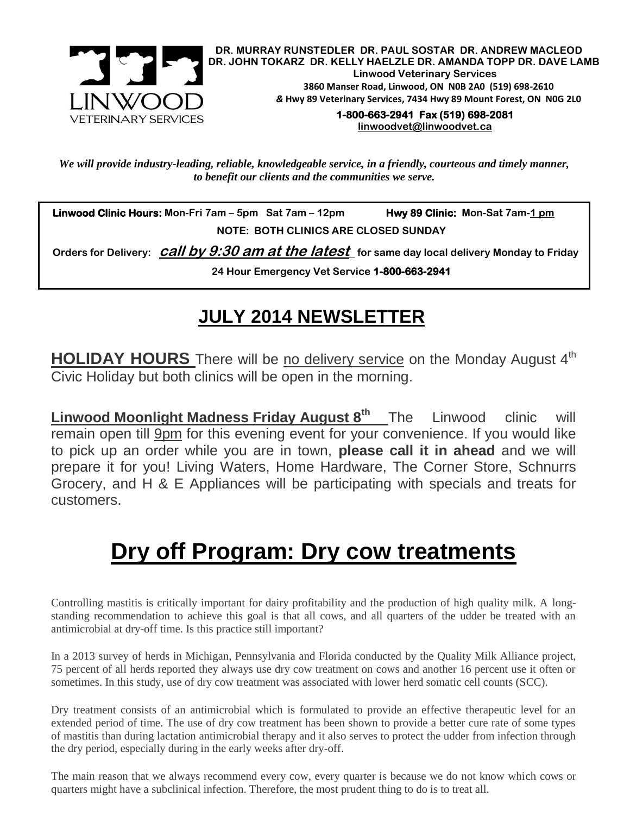

**DR. MURRAY RUNSTEDLER DR. PAUL SOSTAR DR. ANDREW MACLEOD DR. JOHN TOKARZ DR. KELLY HAELZLE DR. AMANDA TOPP DR. DAVE LAMB Linwood Veterinary Services 3860 Manser Road, Linwood, ON N0B 2A0 (519) 698-2610** *&* **Hwy 89 Veterinary Services, 7434 Hwy 89 Mount Forest, ON N0G 2L0**

**1-800-663-2941 Fax (519) 698-2081 [linwoodvet@linwoodvet.ca](mailto:linwoodvet@linwoodvet.ca)**

*We will provide industry-leading, reliable, knowledgeable service, in a friendly, courteous and timely manner, to benefit our clients and the communities we serve.*

 **Linwood Clinic Hours: Mon-Fri 7am – 5pm Sat 7am – 12pm Hwy 89 Clinic: Mon-Sat 7am-1 pm NOTE: BOTH CLINICS ARE CLOSED SUNDAY**

 **Orders for Delivery: call by 9:30 am at the latest for same day local delivery Monday to Friday 24 Hour Emergency Vet Service 1-800-663-2941** 

## **JULY 2014 NEWSLETTER**

**HOLIDAY HOURS** There will be no delivery service on the Monday August 4<sup>th</sup> Civic Holiday but both clinics will be open in the morning.

**Linwood Moonlight Madness Friday August 8th** The Linwood clinic will remain open till 9pm for this evening event for your convenience. If you would like to pick up an order while you are in town, **please call it in ahead** and we will prepare it for you! Living Waters, Home Hardware, The Corner Store, Schnurrs Grocery, and H & E Appliances will be participating with specials and treats for customers.

## **Dry off Program: Dry cow treatments**

Controlling mastitis is critically important for dairy profitability and the production of high quality milk. A longstanding recommendation to achieve this goal is that all cows, and all quarters of the udder be treated with an antimicrobial at dry-off time. Is this practice still important?

In a 2013 survey of herds in Michigan, Pennsylvania and Florida conducted by the Quality Milk Alliance project, 75 percent of all herds reported they always use dry cow treatment on cows and another 16 percent use it often or sometimes. In this study, use of dry cow treatment was associated with lower herd somatic cell counts (SCC).

Dry treatment consists of an antimicrobial which is formulated to provide an effective therapeutic level for an extended period of time. The use of dry cow treatment has been shown to provide a better cure rate of some types of mastitis than during lactation antimicrobial therapy and it also serves to protect the udder from infection through the dry period, especially during in the early weeks after dry-off.

The main reason that we always recommend every cow, every quarter is because we do not know which cows or quarters might have a subclinical infection. Therefore, the most prudent thing to do is to treat all.